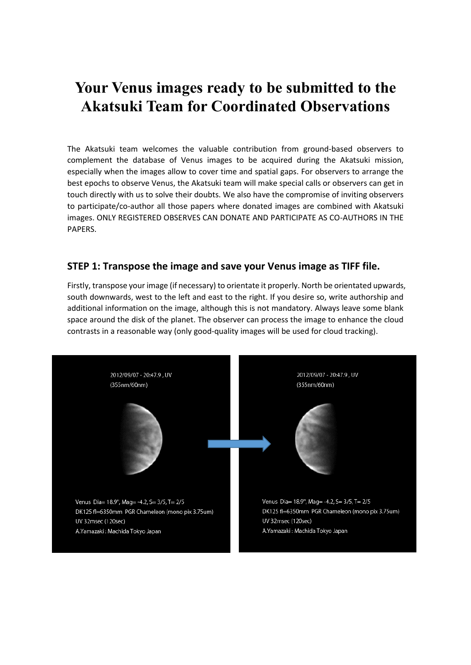# **Your Venus images ready to be submitted to the Akatsuki Team for Coordinated Observations**

The Akatsuki team welcomes the valuable contribution from ground-based observers to complement the database of Venus images to be acquired during the Akatsuki mission, especially when the images allow to cover time and spatial gaps. For observers to arrange the best epochs to observe Venus, the Akatsuki team will make special calls or observers can get in touch directly with us to solve their doubts. We also have the compromise of inviting observers to participate/co-author all those papers where donated images are combined with Akatsuki images. ONLY REGISTERED OBSERVES CAN DONATE AND PARTICIPATE AS CO-AUTHORS IN THE PAPERS.

## **STEP 1: Transpose the image and save your Venus image as TIFF file.**

Firstly, transpose your image (if necessary) to orientate it properly. North be orientated upwards, south downwards, west to the left and east to the right. If you desire so, write authorship and additional information on the image, although this is not mandatory. Always leave some blank space around the disk of the planet. The observer can process the image to enhance the cloud contrasts in a reasonable way (only good-quality images will be used for cloud tracking).

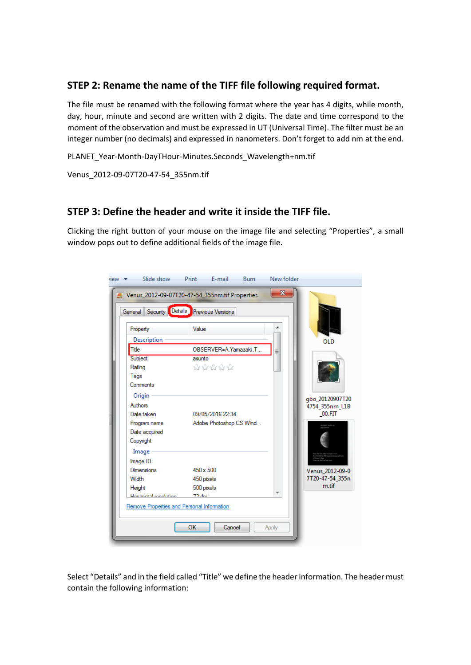# **STEP 2: Rename the name of the TIFF file following required format.**

The file must be renamed with the following format where the year has 4 digits, while month, day, hour, minute and second are written with 2 digits. The date and time correspond to the moment of the observation and must be expressed in UT (Universal Time). The filter must be an integer number (no decimals) and expressed in nanometers. Don't forget to add nm at the end.

PLANET\_Year-Month-DayTHour-Minutes.Seconds\_Wavelength+nm.tif

Venus\_2012-09-07T20-47-54\_355nm.tif

## **STEP 3: Define the header and write it inside the TIFF file.**

Clicking the right button of your mouse on the image file and selecting "Properties", a small window pops out to define additional fields of the image file.

| $r$ iew $\blacktriangleright$ | Slide show                                                                                                                   | Print E-mail            | <b>Burn</b> | New folder |                 |  |
|-------------------------------|------------------------------------------------------------------------------------------------------------------------------|-------------------------|-------------|------------|-----------------|--|
|                               | $\mathbf{x}$<br>Venus_2012-09-07T20-47-54_355nm.tif Properties<br>Details<br><b>Previous Versions</b><br>Security<br>General |                         |             |            |                 |  |
|                               | Property                                                                                                                     | Value                   |             |            |                 |  |
|                               | Description                                                                                                                  |                         |             |            | <b>OLD</b>      |  |
|                               | Title                                                                                                                        | OBSERVER=A.Yamazaki.T   |             | Ξ          |                 |  |
|                               | Subject                                                                                                                      | asunto                  |             |            |                 |  |
|                               | Rating                                                                                                                       | ಬೆ ಬೆ ಬೆ ಬೆ             |             |            |                 |  |
|                               | Tags                                                                                                                         |                         |             |            |                 |  |
|                               | Comments                                                                                                                     |                         |             |            |                 |  |
|                               | Origin                                                                                                                       |                         |             |            | gbo_20120907T20 |  |
|                               | Authors                                                                                                                      |                         |             |            | 4754_355nm_L1B  |  |
|                               | Date taken                                                                                                                   | 09/05/2016 22:34        |             |            | 00.FIT          |  |
|                               | Program name                                                                                                                 | Adobe Photoshop CS Wind |             |            |                 |  |
|                               | Date acquired                                                                                                                |                         |             |            |                 |  |
|                               | Copyright                                                                                                                    |                         |             |            |                 |  |
|                               | Image                                                                                                                        |                         |             |            |                 |  |
|                               | Image ID                                                                                                                     |                         |             |            |                 |  |
|                               | <b>Dimensions</b>                                                                                                            | $450 \times 500$        |             |            | Venus 2012-09-0 |  |
|                               | Width                                                                                                                        | 450 pixels              |             |            | 7T20-47-54_355n |  |
|                               | Height                                                                                                                       | 500 pixels              |             |            | m.tif           |  |
|                               | 70 dei<br>Horizontal mook dion                                                                                               |                         |             |            |                 |  |
|                               | Remove Properties and Personal Information                                                                                   |                         |             |            |                 |  |
|                               | OK<br>Cancel<br>Apply                                                                                                        |                         |             |            |                 |  |

Select "Details" and in the field called "Title" we define the header information. The header must contain the following information: